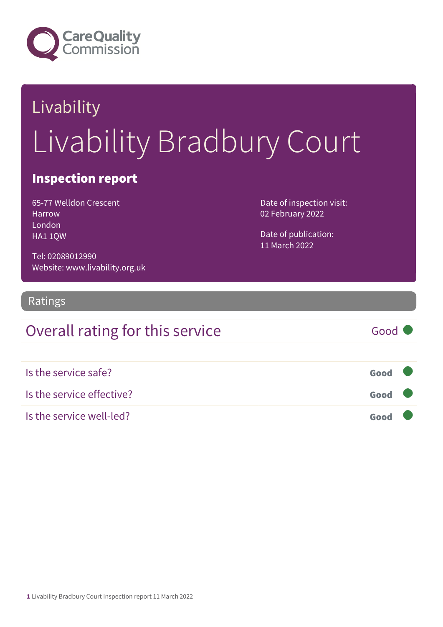

# Livability Livability Bradbury Court

### Inspection report

65-77 Welldon Crescent Harrow London HA1 1QW

Date of inspection visit: 02 February 2022

Date of publication: 11 March 2022

Tel: 02089012990 Website: www.livability.org.uk

#### Ratings

### Overall rating for this service Good

| Is the service safe?      | Good |  |
|---------------------------|------|--|
| Is the service effective? | Good |  |
| Is the service well-led?  | Good |  |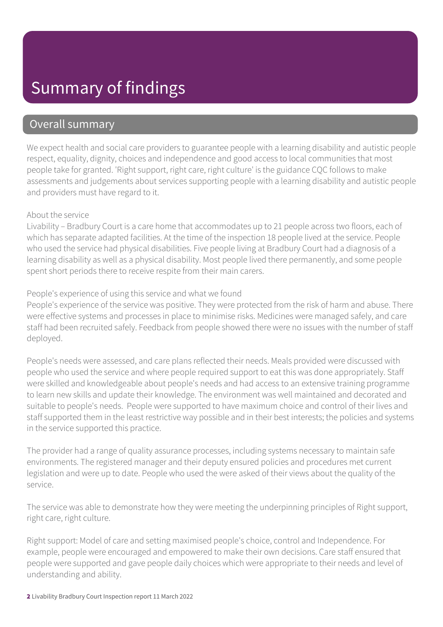## Summary of findings

### Overall summary

We expect health and social care providers to guarantee people with a learning disability and autistic people respect, equality, dignity, choices and independence and good access to local communities that most people take for granted. 'Right support, right care, right culture' is the guidance CQC follows to make assessments and judgements about services supporting people with a learning disability and autistic people and providers must have regard to it.

#### About the service

Livability – Bradbury Court is a care home that accommodates up to 21 people across two floors, each of which has separate adapted facilities. At the time of the inspection 18 people lived at the service. People who used the service had physical disabilities. Five people living at Bradbury Court had a diagnosis of a learning disability as well as a physical disability. Most people lived there permanently, and some people spent short periods there to receive respite from their main carers.

#### People's experience of using this service and what we found

People's experience of the service was positive. They were protected from the risk of harm and abuse. There were effective systems and processes in place to minimise risks. Medicines were managed safely, and care staff had been recruited safely. Feedback from people showed there were no issues with the number of staff deployed.

People's needs were assessed, and care plans reflected their needs. Meals provided were discussed with people who used the service and where people required support to eat this was done appropriately. Staff were skilled and knowledgeable about people's needs and had access to an extensive training programme to learn new skills and update their knowledge. The environment was well maintained and decorated and suitable to people's needs. People were supported to have maximum choice and control of their lives and staff supported them in the least restrictive way possible and in their best interests; the policies and systems in the service supported this practice.

The provider had a range of quality assurance processes, including systems necessary to maintain safe environments. The registered manager and their deputy ensured policies and procedures met current legislation and were up to date. People who used the were asked of their views about the quality of the service.

The service was able to demonstrate how they were meeting the underpinning principles of Right support, right care, right culture.

Right support: Model of care and setting maximised people's choice, control and Independence. For example, people were encouraged and empowered to make their own decisions. Care staff ensured that people were supported and gave people daily choices which were appropriate to their needs and level of understanding and ability.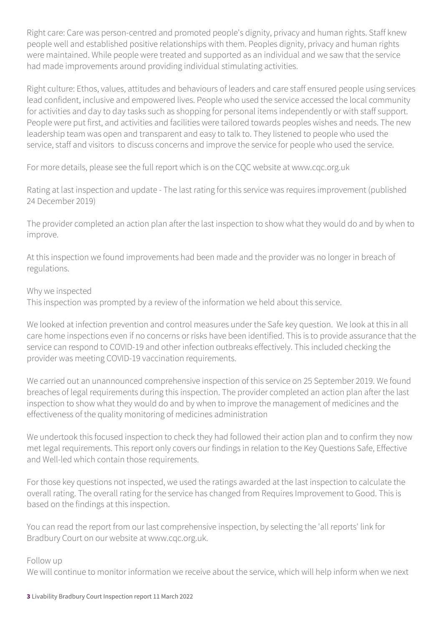Right care: Care was person-centred and promoted people's dignity, privacy and human rights. Staff knew people well and established positive relationships with them. Peoples dignity, privacy and human rights were maintained. While people were treated and supported as an individual and we saw that the service had made improvements around providing individual stimulating activities.

Right culture: Ethos, values, attitudes and behaviours of leaders and care staff ensured people using services lead confident, inclusive and empowered lives. People who used the service accessed the local community for activities and day to day tasks such as shopping for personal items independently or with staff support. People were put first, and activities and facilities were tailored towards peoples wishes and needs. The new leadership team was open and transparent and easy to talk to. They listened to people who used the service, staff and visitors to discuss concerns and improve the service for people who used the service.

For more details, please see the full report which is on the CQC website at www.cqc.org.uk

Rating at last inspection and update - The last rating for this service was requires improvement (published 24 December 2019)

The provider completed an action plan after the last inspection to show what they would do and by when to improve.

At this inspection we found improvements had been made and the provider was no longer in breach of regulations.

#### Why we inspected

This inspection was prompted by a review of the information we held about this service.

We looked at infection prevention and control measures under the Safe key question. We look at this in all care home inspections even if no concerns or risks have been identified. This is to provide assurance that the service can respond to COVID-19 and other infection outbreaks effectively. This included checking the provider was meeting COVID-19 vaccination requirements.

We carried out an unannounced comprehensive inspection of this service on 25 September 2019. We found breaches of legal requirements during this inspection. The provider completed an action plan after the last inspection to show what they would do and by when to improve the management of medicines and the effectiveness of the quality monitoring of medicines administration

We undertook this focused inspection to check they had followed their action plan and to confirm they now met legal requirements. This report only covers our findings in relation to the Key Questions Safe, Effective and Well-led which contain those requirements.

For those key questions not inspected, we used the ratings awarded at the last inspection to calculate the overall rating. The overall rating for the service has changed from Requires Improvement to Good. This is based on the findings at this inspection.

You can read the report from our last comprehensive inspection, by selecting the 'all reports' link for Bradbury Court on our website at www.cqc.org.uk.

#### Follow up

We will continue to monitor information we receive about the service, which will help inform when we next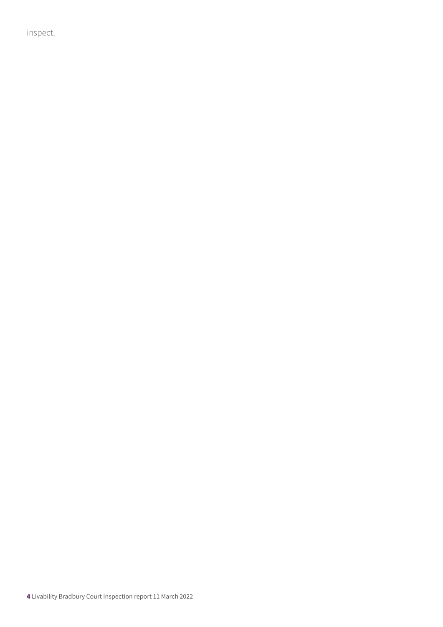inspect.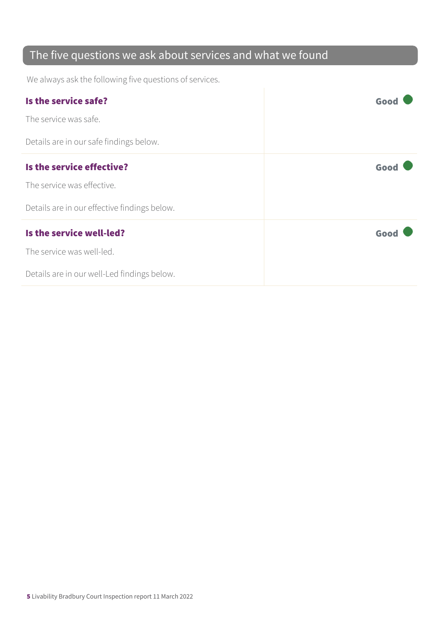### The five questions we ask about services and what we found

We always ask the following five questions of services.

| Is the service safe?                         | Goo  |
|----------------------------------------------|------|
| The service was safe.                        |      |
| Details are in our safe findings below.      |      |
| Is the service effective?                    | Good |
| The service was effective.                   |      |
| Details are in our effective findings below. |      |
| Is the service well-led?                     | Good |
| The service was well-led.                    |      |
| Details are in our well-Led findings below.  |      |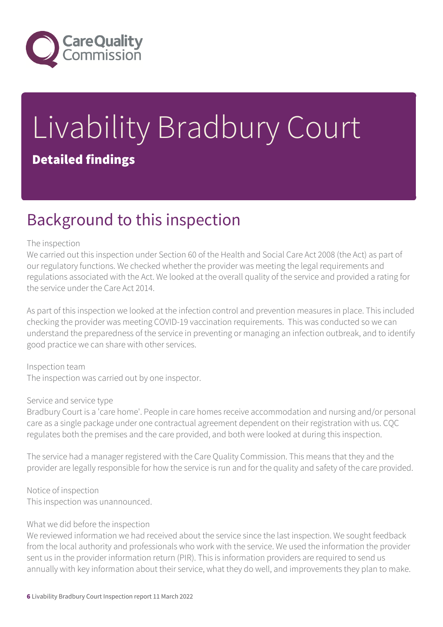

# Livability Bradbury Court Detailed findings

## Background to this inspection

#### The inspection

We carried out this inspection under Section 60 of the Health and Social Care Act 2008 (the Act) as part of our regulatory functions. We checked whether the provider was meeting the legal requirements and regulations associated with the Act. We looked at the overall quality of the service and provided a rating for the service under the Care Act 2014.

As part of this inspection we looked at the infection control and prevention measures in place. This included checking the provider was meeting COVID-19 vaccination requirements. This was conducted so we can understand the preparedness of the service in preventing or managing an infection outbreak, and to identify good practice we can share with other services.

Inspection team The inspection was carried out by one inspector.

#### Service and service type

Bradbury Court is a 'care home'. People in care homes receive accommodation and nursing and/or personal care as a single package under one contractual agreement dependent on their registration with us. CQC regulates both the premises and the care provided, and both were looked at during this inspection.

The service had a manager registered with the Care Quality Commission. This means that they and the provider are legally responsible for how the service is run and for the quality and safety of the care provided.

Notice of inspection This inspection was unannounced.

#### What we did before the inspection

We reviewed information we had received about the service since the last inspection. We sought feedback from the local authority and professionals who work with the service. We used the information the provider sent us in the provider information return (PIR). This is information providers are required to send us annually with key information about their service, what they do well, and improvements they plan to make.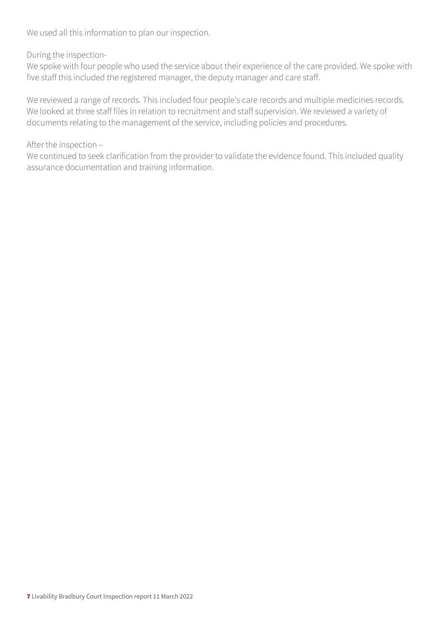We used all this information to plan our inspection.

#### During the inspection-

We spoke with four people who used the service about their experience of the care provided. We spoke with five staff this included the registered manager, the deputy manager and care staff.

We reviewed a range of records. This included four people's care records and multiple medicines records. We looked at three staff files in relation to recruitment and staff supervision. We reviewed a variety of documents relating to the management of the service, including policies and procedures.

#### After the inspection –

We continued to seek clarification from the provider to validate the evidence found. This included quality assurance documentation and training information.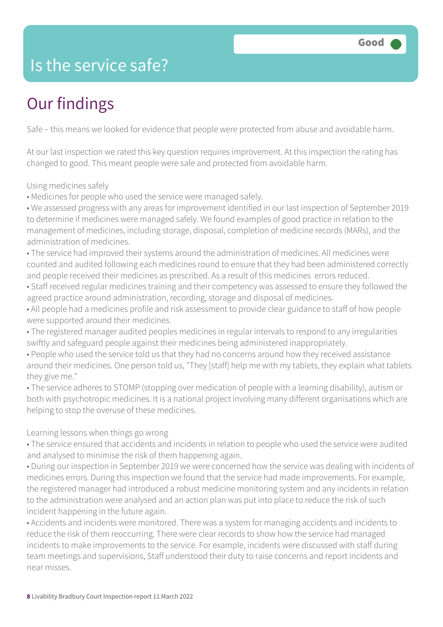### Is the service safe?

# Our findings

Safe – this means we looked for evidence that people were protected from abuse and avoidable harm.

At our last inspection we rated this key question requires improvement. At this inspection the rating has changed to good. This meant people were safe and protected from avoidable harm.

Using medicines safely

• Medicines for people who used the service were managed safely.

• We assessed progress with any areas for improvement identified in our last inspection of September 2019 to determine if medicines were managed safely. We found examples of good practice in relation to the management of medicines, including storage, disposal, completion of medicine records (MARs), and the administration of medicines.

• The service had improved their systems around the administration of medicines. All medicines were counted and audited following each medicines round to ensure that they had been administered correctly and people received their medicines as prescribed. As a result of this medicines errors reduced.

• Staff received regular medicines training and their competency was assessed to ensure they followed the agreed practice around administration, recording, storage and disposal of medicines.

• All people had a medicines profile and risk assessment to provide clear guidance to staff of how people were supported around their medicines.

• The registered manager audited peoples medicines in regular intervals to respond to any irregularities swiftly and safeguard people against their medicines being administered inappropriately.

• People who used the service told us that they had no concerns around how they received assistance around their medicines. One person told us, "They [staff] help me with my tablets, they explain what tablets they give me."

• The service adheres to STOMP (stopping over medication of people with a learning disability), autism or both with psychotropic medicines. It is a national project involving many different organisations which are helping to stop the overuse of these medicines.

#### Learning lessons when things go wrong

• The service ensured that accidents and incidents in relation to people who used the service were audited and analysed to minimise the risk of them happening again.

• During our inspection in September 2019 we were concerned how the service was dealing with incidents of medicines errors. During this inspection we found that the service had made improvements. For example, the registered manager had introduced a robust medicine monitoring system and any incidents in relation to the administration were analysed and an action plan was put into place to reduce the risk of such incident happening in the future again.

• Accidents and incidents were monitored. There was a system for managing accidents and incidents to reduce the risk of them reoccurring. There were clear records to show how the service had managed incidents to make improvements to the service. For example, incidents were discussed with staff during team meetings and supervisions, Staff understood their duty to raise concerns and report incidents and near misses.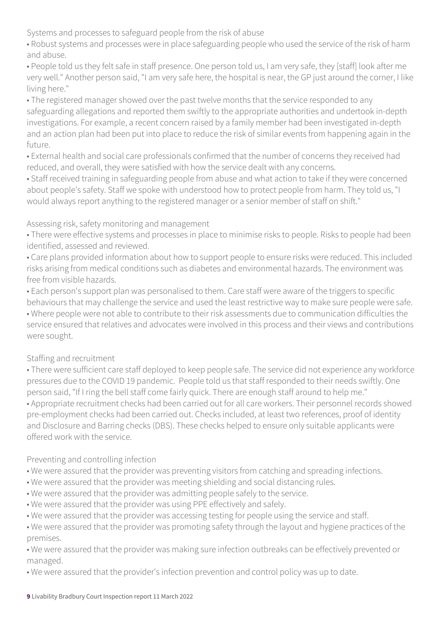Systems and processes to safeguard people from the risk of abuse

• Robust systems and processes were in place safeguarding people who used the service of the risk of harm and abuse.

• People told us they felt safe in staff presence. One person told us, I am very safe, they [staff] look after me very well." Another person said, "I am very safe here, the hospital is near, the GP just around the corner, I like living here."

• The registered manager showed over the past twelve months that the service responded to any safeguarding allegations and reported them swiftly to the appropriate authorities and undertook in-depth investigations. For example, a recent concern raised by a family member had been investigated in-depth and an action plan had been put into place to reduce the risk of similar events from happening again in the future.

• External health and social care professionals confirmed that the number of concerns they received had reduced, and overall, they were satisfied with how the service dealt with any concerns.

• Staff received training in safeguarding people from abuse and what action to take if they were concerned about people's safety. Staff we spoke with understood how to protect people from harm. They told us, "I would always report anything to the registered manager or a senior member of staff on shift."

#### Assessing risk, safety monitoring and management

• There were effective systems and processes in place to minimise risks to people. Risks to people had been identified, assessed and reviewed.

• Care plans provided information about how to support people to ensure risks were reduced. This included risks arising from medical conditions such as diabetes and environmental hazards. The environment was free from visible hazards.

• Each person's support plan was personalised to them. Care staff were aware of the triggers to specific behaviours that may challenge the service and used the least restrictive way to make sure people were safe. • Where people were not able to contribute to their risk assessments due to communication difficulties the service ensured that relatives and advocates were involved in this process and their views and contributions were sought.

#### Staffing and recruitment

• There were sufficient care staff deployed to keep people safe. The service did not experience any workforce pressures due to the COVID 19 pandemic. People told us that staff responded to their needs swiftly. One person said, "If I ring the bell staff come fairly quick. There are enough staff around to help me." • Appropriate recruitment checks had been carried out for all care workers. Their personnel records showed pre-employment checks had been carried out. Checks included, at least two references, proof of identity and Disclosure and Barring checks (DBS). These checks helped to ensure only suitable applicants were offered work with the service.

Preventing and controlling infection

- We were assured that the provider was preventing visitors from catching and spreading infections.
- We were assured that the provider was meeting shielding and social distancing rules.
- We were assured that the provider was admitting people safely to the service.
- We were assured that the provider was using PPE effectively and safely.
- We were assured that the provider was accessing testing for people using the service and staff.

• We were assured that the provider was promoting safety through the layout and hygiene practices of the premises.

• We were assured that the provider was making sure infection outbreaks can be effectively prevented or managed.

• We were assured that the provider's infection prevention and control policy was up to date.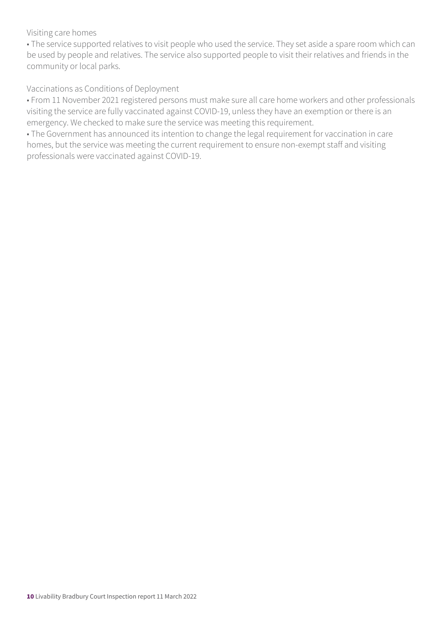#### Visiting care homes

• The service supported relatives to visit people who used the service. They set aside a spare room which can be used by people and relatives. The service also supported people to visit their relatives and friends in the community or local parks.

#### Vaccinations as Conditions of Deployment

• From 11 November 2021 registered persons must make sure all care home workers and other professionals visiting the service are fully vaccinated against COVID-19, unless they have an exemption or there is an emergency. We checked to make sure the service was meeting this requirement.

• The Government has announced its intention to change the legal requirement for vaccination in care homes, but the service was meeting the current requirement to ensure non-exempt staff and visiting professionals were vaccinated against COVID-19.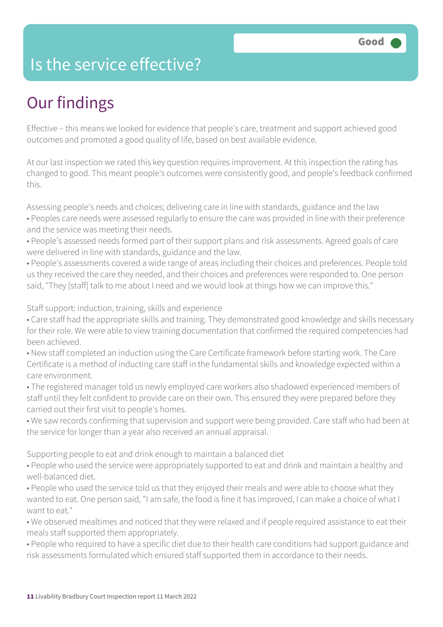### Is the service effective?

# Our findings

Effective – this means we looked for evidence that people's care, treatment and support achieved good outcomes and promoted a good quality of life, based on best available evidence.

At our last inspection we rated this key question requires improvement. At this inspection the rating has changed to good. This meant people's outcomes were consistently good, and people's feedback confirmed this.

Assessing people's needs and choices; delivering care in line with standards, guidance and the law

- Peoples care needs were assessed regularly to ensure the care was provided in line with their preference and the service was meeting their needs.
- People's assessed needs formed part of their support plans and risk assessments. Agreed goals of care were delivered in line with standards, guidance and the law.
- People's assessments covered a wide range of areas including their choices and preferences. People told us they received the care they needed, and their choices and preferences were responded to. One person said, "They [staff] talk to me about I need and we would look at things how we can improve this."

Staff support: induction, training, skills and experience

- Care staff had the appropriate skills and training. They demonstrated good knowledge and skills necessary for their role. We were able to view training documentation that confirmed the required competencies had been achieved.
- New staff completed an induction using the Care Certificate framework before starting work. The Care Certificate is a method of inducting care staff in the fundamental skills and knowledge expected within a care environment.
- The registered manager told us newly employed care workers also shadowed experienced members of staff until they felt confident to provide care on their own. This ensured they were prepared before they carried out their first visit to people's homes.
- We saw records confirming that supervision and support were being provided. Care staff who had been at the service for longer than a year also received an annual appraisal.

Supporting people to eat and drink enough to maintain a balanced diet

- People who used the service were appropriately supported to eat and drink and maintain a healthy and well-balanced diet.
- People who used the service told us that they enjoyed their meals and were able to choose what they wanted to eat. One person said, "I am safe, the food is fine it has improved, I can make a choice of what I want to eat."
- We observed mealtimes and noticed that they were relaxed and if people required assistance to eat their meals staff supported them appropriately.
- People who required to have a specific diet due to their health care conditions had support guidance and risk assessments formulated which ensured staff supported them in accordance to their needs.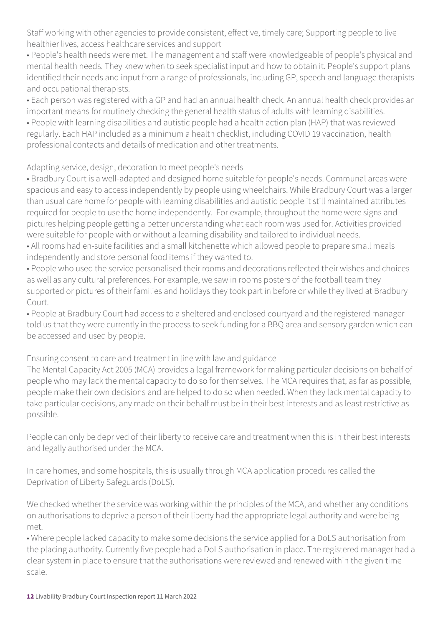Staff working with other agencies to provide consistent, effective, timely care; Supporting people to live healthier lives, access healthcare services and support

• People's health needs were met. The management and staff were knowledgeable of people's physical and mental health needs. They knew when to seek specialist input and how to obtain it. People's support plans identified their needs and input from a range of professionals, including GP, speech and language therapists and occupational therapists.

• Each person was registered with a GP and had an annual health check. An annual health check provides an important means for routinely checking the general health status of adults with learning disabilities.

• People with learning disabilities and autistic people had a health action plan (HAP) that was reviewed regularly. Each HAP included as a minimum a health checklist, including COVID 19 vaccination, health professional contacts and details of medication and other treatments.

Adapting service, design, decoration to meet people's needs

• Bradbury Court is a well-adapted and designed home suitable for people's needs. Communal areas were spacious and easy to access independently by people using wheelchairs. While Bradbury Court was a larger than usual care home for people with learning disabilities and autistic people it still maintained attributes required for people to use the home independently. For example, throughout the home were signs and pictures helping people getting a better understanding what each room was used for. Activities provided were suitable for people with or without a learning disability and tailored to individual needs.

• All rooms had en-suite facilities and a small kitchenette which allowed people to prepare small meals independently and store personal food items if they wanted to.

• People who used the service personalised their rooms and decorations reflected their wishes and choices as well as any cultural preferences. For example, we saw in rooms posters of the football team they supported or pictures of their families and holidays they took part in before or while they lived at Bradbury Court.

• People at Bradbury Court had access to a sheltered and enclosed courtyard and the registered manager told us that they were currently in the process to seek funding for a BBQ area and sensory garden which can be accessed and used by people.

Ensuring consent to care and treatment in line with law and guidance

The Mental Capacity Act 2005 (MCA) provides a legal framework for making particular decisions on behalf of people who may lack the mental capacity to do so for themselves. The MCA requires that, as far as possible, people make their own decisions and are helped to do so when needed. When they lack mental capacity to take particular decisions, any made on their behalf must be in their best interests and as least restrictive as possible.

People can only be deprived of their liberty to receive care and treatment when this is in their best interests and legally authorised under the MCA.

In care homes, and some hospitals, this is usually through MCA application procedures called the Deprivation of Liberty Safeguards (DoLS).

We checked whether the service was working within the principles of the MCA, and whether any conditions on authorisations to deprive a person of their liberty had the appropriate legal authority and were being met.

• Where people lacked capacity to make some decisions the service applied for a DoLS authorisation from the placing authority. Currently five people had a DoLS authorisation in place. The registered manager had a clear system in place to ensure that the authorisations were reviewed and renewed within the given time scale.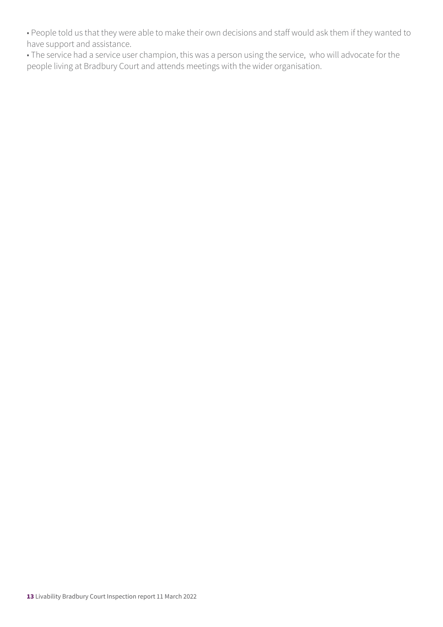• People told us that they were able to make their own decisions and staff would ask them if they wanted to have support and assistance.

• The service had a service user champion, this was a person using the service, who will advocate for the people living at Bradbury Court and attends meetings with the wider organisation.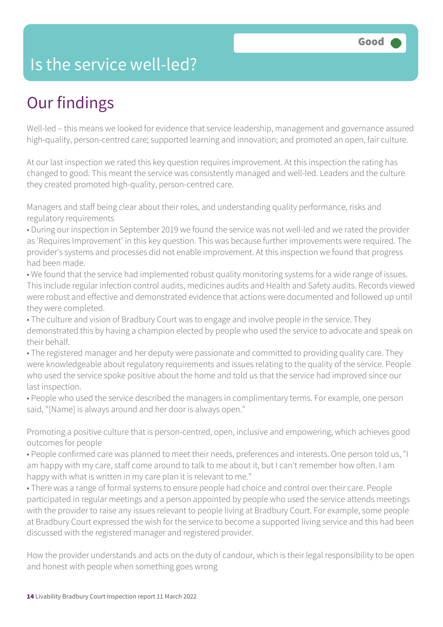### Is the service well-led?

# Our findings

Well-led – this means we looked for evidence that service leadership, management and governance assured high-quality, person-centred care; supported learning and innovation; and promoted an open, fair culture.

At our last inspection we rated this key question requires improvement. At this inspection the rating has changed to good. This meant the service was consistently managed and well-led. Leaders and the culture they created promoted high-quality, person-centred care.

Managers and staff being clear about their roles, and understanding quality performance, risks and regulatory requirements

• During our inspection in September 2019 we found the service was not well-led and we rated the provider as 'Requires Improvement' in this key question. This was because further improvements were required. The provider's systems and processes did not enable improvement. At this inspection we found that progress had been made.

• We found that the service had implemented robust quality monitoring systems for a wide range of issues. This include regular infection control audits, medicines audits and Health and Safety audits. Records viewed were robust and effective and demonstrated evidence that actions were documented and followed up until they were completed.

• The culture and vision of Bradbury Court was to engage and involve people in the service. They demonstrated this by having a champion elected by people who used the service to advocate and speak on their behalf.

• The registered manager and her deputy were passionate and committed to providing quality care. They were knowledgeable about regulatory requirements and issues relating to the quality of the service. People who used the service spoke positive about the home and told us that the service had improved since our last inspection.

• People who used the service described the managers in complimentary terms. For example, one person said, "[Name] is always around and her door is always open."

Promoting a positive culture that is person-centred, open, inclusive and empowering, which achieves good outcomes for people

• People confirmed care was planned to meet their needs, preferences and interests. One person told us, "I am happy with my care, staff come around to talk to me about it, but I can't remember how often. I am happy with what is written in my care plan it is relevant to me."

• There was a range of formal systems to ensure people had choice and control over their care. People participated in regular meetings and a person appointed by people who used the service attends meetings with the provider to raise any issues relevant to people living at Bradbury Court. For example, some people at Bradbury Court expressed the wish for the service to become a supported living service and this had been discussed with the registered manager and registered provider.

How the provider understands and acts on the duty of candour, which is their legal responsibility to be open and honest with people when something goes wrong